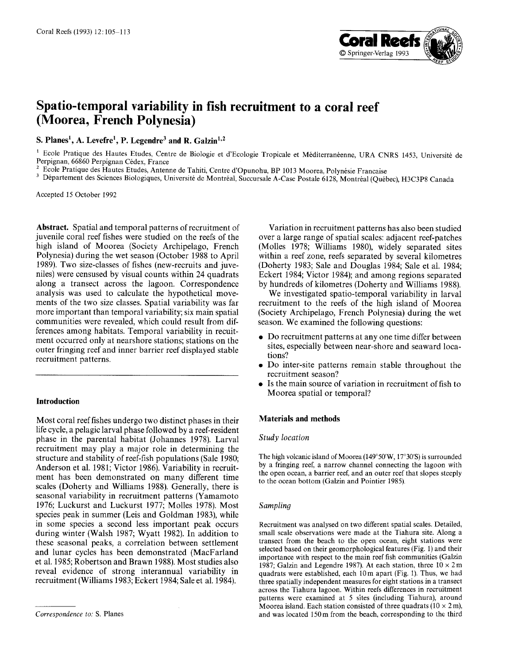

# **Spatio-temporal variability in fish recruitment to a coral reef (Moorea, French Polynesia)**

S. Planes<sup>1</sup>, A. Levefre<sup>1</sup>, P. Legendre<sup>3</sup> and R. Galzin<sup>1,2</sup>

Ecole Pratique des Hautes Etudes, Centre de Biologie et d'Ecologie Tropicale et Méditerranéenne, URA CNRS 1453, Université de Perpignan, 66860 Perpignan Cédex, France

Ecole Pratique des Hautes Etudes, Antenne de Tahiti, Centre d'Opunohu, BP 1013 Moorea, Polynésie Francaise

Département des Sciences Biologiques, Université de Montréal, Succursale A-Case Postale 6128, Montréal (Québec), H3C3P8 Canada

Accepted 15 October 1992

**Abstract.** Spatial and temporal patterns of recruitment of juvenile coral reef fishes were studied on the reefs of the high island of Moorea (Society Archipelago, French Polynesia) during the wet season (October 1988 to April 1989). Two size-classes of fishes (new-recruits and juveniles) were censused by visual counts within 24 quadrats along a transect across the lagoon. Correspondence analysis was used to calculate the hypothetical movements of the two size classes. Spatial variability was far more important than temporal variability; six main spatial communities were revealed, which could result from differences among habitats. Temporal variability in recuitment occurred only at nearshore stations; stations on the outer fringing reef and inner barrier reef displayed stable recruitment patterns.

# **Introduction**

Most coral reef fishes undergo two distinct phases in their life cycle, a pelagic larval phase followed by a reef-resident phase in the parental habitat (Johannes 1978). Larval recruitment may play a major role in determining the structure and stability of reef-fish populations (Sale 1980; Anderson et al. 1981; Victor 1986). Variability in recruitment has been demonstrated on many different time scales (Doherty and Williams 1988). Generally, there is seasonal variability in recruitment patterns (Yamamoto 1976; Luckurst and Luckurst 1977; Molles 1978). Most species peak in summer (Leis and Goldman 1983), while in some species a second less important peak occurs during winter (Walsh 1987; Wyatt 1982). In addition to these seasonal peaks, a correlation between settlement and lunar cycles has been demonstrated (MacFarland et al. 1985; Robertson and Brawn 1988). Most studies also reveal evidence of strong interannual variability in recruitment (Williams 1983; Eckert 1984; Sale et al. 1984).

Variation in recruitment patterns has also been studied over a large range of spatial scales: adjacent reef-patches (Molles 1978; Williams 1980), widely separated sites within a reef zone, reefs separated by several kilometres (Doherty 1983; Sale and Douglas 1984; Sale et al. 1984; Eckert 1984; Victor 1984); and among regions separated by hundreds of kilometres (Doherty and Williams 1988).

We investigated spatio-temporal variability in larval recruitment to the reefs of the high island of Moorea (Society Archipelago, French Polynesia) during the wet season. We examined the following questions:

- Do recruitment patterns at any one time differ between sites, especially between near-shore and seaward locations?
- 9 Do inter-site patterns remain stable throughout the recruitment season?
- Is the main source of variation in recruitment of fish to Moorea spatial or temporal?

## **Materials and methods**

## *Study location*

The high volcanic island of Moorea ( $149^{\circ}50'W$ ,  $17^{\circ}30'S$ ) is surrounded by a fringing reef, a narrow channel connecting the lagoon with the open ocean, a barrier reef, and an outer reef that slopes steeply to the ocean bottom (Galzin and Pointier 1985).

## *Samplin9*

Recruitment was analysed on two different spatial scales. Detailed, small scale observations were made at the Tiahura site. Along a transect from the beach to the open ocean, eight stations were selected based on their geomorphological features (Fig. 1) and their importance with respect to the main reef fish communities (Galzin 1987; Galzin and Legendre 1987). At each station, three  $10 \times 2m$ quadrats were established, each 10m apart (Fig. l). Thus, we had three spatially independent measures for eight stations in a transect across the Tiahura lagoon. Within reefs differences in recruitment patterns were examined at 5 sites (including Tiahura), around Moorea island. Each station consisted of three quadrats  $(10 \times 2 \text{ m})$ , and was located 150m from the beach, corresponding to the third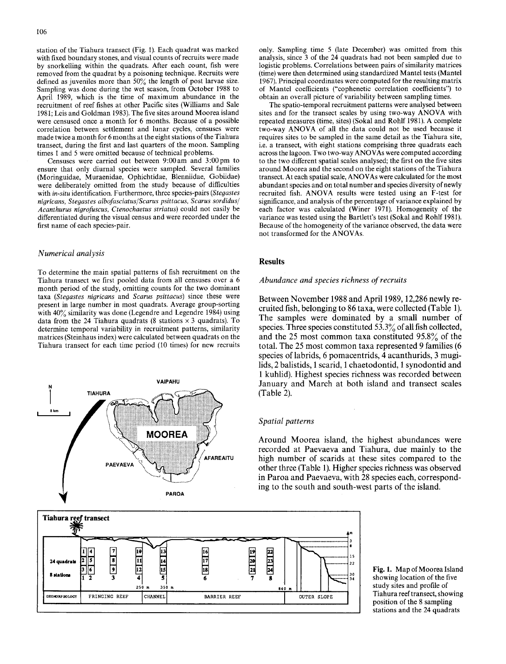station of the Tiahura transect (Fig. 1). Each quadrat was marked with fixed boundary stones, and visual counts of recruits were made by snorkelling within the quadrats. After each count, fish were removed from the quadrat by a poisoning technique. Recruits were defined as juveniles more than  $50\%$  the length of post larvae size. Sampling was done during the wet season, from October 1988 to April 1989, which is the time of maximum abundance in the recruitment of reef fishes at other Pacific sites (Williams and Sale 1981; Leis and Goldman 1983). The five sites around Moorea island were censused once a month for 6 months. Because of a possible correlation between settlement and lunar cycles, censuses were made twice a month for 6 months at the eight stations of the Tiahura transect, during the first and last quarters of the moon. Sampling times 1 and 5 were omitted because of technical problems.

Censuses were carried out between 9:00am and 3:00pm to ensure that only diurnal species were sampled. Several families (Moringuidae, Muraenidae, Ophichtidae, Blenniidae, Gobiidae) were deliberately omitted from the study because of difficulties with *in-situ* identification. Furthermore, three species-pairs *(Stegastes nigricans, Stegastes albofasciatus/Scarus psittacus, Scarus sordidus/ Acanthurus nigrofuscus, Ctenochaetus striatus)* could not easily be differentiated during the visual census and were recorded under the first name of each species-pair.

## *Numerical analysis*

To determine the main spatial patterns of fish recruitment on the Tiahura transect we first pooled data from all censuses over a 6 month period of the study, omitting counts for the two dominant taxa *(Stegastes nigricans* and *Scarus psittacus)* since these were present in large number in most quadrats. Average group-sorting with  $40\%$  similarity was done (Legendre and Legendre 1984) using data from the 24 Tiahura quadrats (8 stations  $\times$  3 quadrats). To determine temporal variability in recruitment patterns, similarity matrices (Steinhaus index) were calculated between quadrats on the Tiahura transect for each time period (10 times) for new recruits





only. Sampling time 5 (late December) was omitted from this analysis, since 3 of the 24 quadrats had not been sampled due to logistic problems. Correlations between pairs of similarity matrices (time) were then determined using standardized Mantel tests (Mantel 1967). Principal coordinates were computed for the resulting matrix of Mantel coefficients ("cophenetic correlation coefficients") to obtain an overall picture of variability between sampling times.

The spatio-temporal recruitment patterns were analysed between sites and for the transect scales by using two-way ANOVA with repeated measures (time, sites) (Sokal and Rohlf 1981). A complete two-way ANOVA of all the data could not be used because it requires sites to be sampled in the same detail as the Tiahura site, i.e. a transect, with eight stations comprising three quadrats each across the lagoon. Two two-way ANOVAs were computed according to the two different spatial scales analysed; the first on the five sites around Moorea and the second on the eight stations of the Tiahura transect. At each spatial scale, ANOVAs were calculated for the most abundant species and on total number and species diversity of newly recruited fish. ANOVA results were tested using an F-test for significance, and analysis of the percentage of variance explained by each factor was calculated (Winer 1971). Homogeneity of the variance was tested using the Bartlett's test (Sokal and Rohlf 1981). Because of the homogeneity of the variance observed, the data were not transformed for the ANOVAs.

## **Results**

#### *Abundance and species richness of recruits*

Between November 1988 and April 1989, 12,286 newly recruited fish, belonging to 86 taxa, were collected (Table 1). The samples were dominated by a small number of species. Three species constituted  $53.3\%$  of all fish collected, and the 25 most common taxa constituted  $95.8\%$  of the total. The 25 most common taxa represented 9 families (6 species of labrids, 6 pomacentrids, 4 acanthurids, 3 mugilids, 2 balistids, 1 scarid, 1 chaetodontid, 1 synodontid and 1 kuhlid). Highest species richness was recorded between January and March at both island and transect scales (Table 2).

# *Spatial patterns*

Around Moorea island, the highest abundances were recorded at Paevaeva and Tiahura, due mainly to the high number of scarids at these sites compared to the other three (Table 1). Higher species richness was observed in Paroa and Paevaeva, with 28 species each, corresponding to the south and south-west parts of the island.

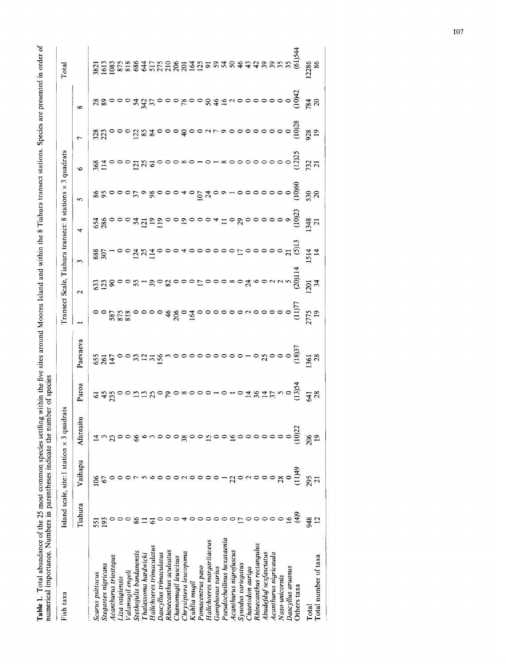| $\overline{\phantom{a}}$<br><br>.<br>;<br>د                                                   |                                                                                                        |
|-----------------------------------------------------------------------------------------------|--------------------------------------------------------------------------------------------------------|
| $\frac{1}{\sqrt{2}}$<br>こく たくそう くうそく<br><br>$\ddot{\ }$<br>Ï<br>i                             | $1500 + 0.4$ $-0.75$<br>i                                                                              |
| of the 75 most common sport<br>ï<br>5<br>}<br>z amazarta<br>$\frac{1}{2}$<br>;<br>;<br>Į<br>í | í<br>anan in<br>conon Niumhare in narante<br>5<br>1<br>3<br>ì<br>$\sim$ 1 mm m $\sim$ 1 mm $\sim$<br>i |

| numerical importance. Numbers in parentheses indicate the number |                |                                              |                  | of species          |                  |                   |                                                |                             |                     |                 |                                                          |            |                                                       |                   |
|------------------------------------------------------------------|----------------|----------------------------------------------|------------------|---------------------|------------------|-------------------|------------------------------------------------|-----------------------------|---------------------|-----------------|----------------------------------------------------------|------------|-------------------------------------------------------|-------------------|
| Fish taxa                                                        |                | Island scale, site:1 station $\times$ 3 quad | Irats            |                     |                  |                   | Transect Scale, Tiahura transect: 8 stations x |                             |                     |                 | 3 quadrats                                               |            |                                                       | Total             |
|                                                                  | Tiahura        | Vaihapu                                      | Afareaitu        | Paroa               | Paevaeva         |                   | $\mathbf{\Omega}$                              | $\tilde{\phantom{a}}$       | 4                   | $\sim$          | P                                                        | ᠭ          | $\infty$                                              |                   |
| Scarus psittacus                                                 | 551            | $\frac{8}{100}$                              |                  | ତ                   |                  |                   |                                                |                             |                     |                 |                                                          |            |                                                       | 3821              |
| Stegastes nigricans                                              | 193            | 67                                           |                  |                     |                  |                   | ន្លងន                                          | $\frac{88}{307}$            | 654<br>286          | 85              | $368$<br>114                                             | 328<br>223 |                                                       | 1613              |
| Acanthurus triostegus                                            |                |                                              |                  | $45$<br>235         | 55347            |                   |                                                |                             |                     |                 |                                                          |            | ಇ೩ಿ೦೦೦                                                | 1083              |
| Liza vaigiensis                                                  |                |                                              |                  |                     |                  | 587<br>875<br>818 |                                                |                             |                     |                 |                                                          |            |                                                       | 875<br>818<br>686 |
| Valamugil engeli                                                 |                |                                              |                  |                     |                  |                   |                                                |                             |                     |                 |                                                          |            |                                                       |                   |
| Stethojulis bandanensis                                          | 86             |                                              | 8                |                     |                  |                   |                                                |                             |                     |                 | $\Xi$                                                    |            | 24                                                    |                   |
| Thalassoma hardwicki                                             |                |                                              |                  | $\frac{25}{25}$     | $\frac{12}{35}$  |                   |                                                | $\frac{3}{2}$ $\frac{3}{4}$ | $\overline{\Omega}$ | o,              | 25                                                       | 283        | 342                                                   | <u>द्र</u>        |
| Halichoeres trimaculatus                                         | $\overline{6}$ |                                              |                  |                     |                  |                   | 39                                             |                             | $\overline{a}$      | 98              |                                                          |            | $\overline{37}$                                       |                   |
| Dascyllus trimaculatus                                           |                |                                              |                  | $\circ$             |                  | $\circ$           |                                                |                             | 119                 |                 |                                                          |            |                                                       |                   |
| Rhinecanthus aculeatus                                           |                |                                              |                  | 79                  |                  | $\frac{4}{6}$     | $82\,$                                         |                             |                     |                 |                                                          | $\circ$    | $\circ \circ \underset{\sim}{\mathbb{R}} \circ \circ$ |                   |
| Chanomugil leuscisus                                             |                |                                              |                  |                     |                  | 206               |                                                |                             | $\circ$             |                 |                                                          |            |                                                       |                   |
| Chrysiptera leucopoma                                            |                |                                              | 38               | $\circ \circ \circ$ |                  | $\circ$           | $\circ \circ \circ$                            |                             |                     |                 | $\circ \circ \circ$                                      | $\Theta$   |                                                       |                   |
| Kuhlia mugil                                                     |                |                                              | $\circ$          |                     |                  | 164               |                                                |                             | 2000                |                 |                                                          |            |                                                       |                   |
| Pomacentrus pavo                                                 |                |                                              |                  | $\circ$             |                  |                   |                                                |                             |                     | 107             |                                                          |            |                                                       |                   |
| Halichoeres margaritaceus                                        |                |                                              |                  |                     |                  |                   |                                                |                             |                     | $\overline{24}$ |                                                          |            |                                                       |                   |
| Gomphosus varius                                                 |                |                                              |                  |                     |                  |                   |                                                |                             |                     |                 | $\overline{\circ}$ $\overline{\circ}$ $\overline{\circ}$ |            |                                                       |                   |
| Pseudocheilinus hexataenia                                       |                |                                              |                  |                     |                  |                   |                                                |                             |                     |                 |                                                          |            |                                                       |                   |
| Acanthurus nigrofuscus                                           | ∘              | 200                                          | $\frac{6}{9}$    |                     |                  |                   | $\infty$                                       |                             | ာ ခ                 |                 |                                                          |            |                                                       | Enggggggaaas      |
| Synodus variegatus                                               | $\overline{1}$ |                                              |                  |                     |                  |                   |                                                |                             |                     |                 |                                                          |            |                                                       |                   |
| Chaetodon auriga                                                 | $\circ$        |                                              |                  | 74                  |                  |                   | $\mathbf{z}$                                   |                             |                     |                 |                                                          |            |                                                       | 43                |
| Rhinecanthus rectangulus                                         | $\circ$        | $\circ$                                      | $\circ$          |                     |                  |                   |                                                |                             |                     |                 |                                                          |            |                                                       | 42                |
| Abudefduf sexfasciatus                                           | $\circ$        | $\circ$                                      |                  | $\vec{a}$           | $\mathcal{S}$    |                   |                                                |                             |                     |                 |                                                          |            |                                                       |                   |
| Acanthurus nigricauda                                            | $\circ$        | $\circ$                                      |                  |                     |                  |                   |                                                |                             |                     |                 | 00000                                                    |            |                                                       |                   |
| Naso unicornis                                                   | $\circ$        | 28                                           |                  | $\frac{5}{2}$       |                  | 0000N00000        |                                                |                             |                     |                 |                                                          |            | <b>STTUOOOOOOO</b>                                    |                   |
| Dascyllus aruanus                                                | $\tilde{a}$    | $\circ$                                      |                  |                     |                  |                   |                                                |                             |                     |                 |                                                          |            |                                                       |                   |
| Others taxa                                                      | $\widehat{f}$  | 64(11)                                       | (10)22           |                     | (18)3            |                   |                                                | $\widetilde{S}$             | $\widehat{\Xi}$     | (10)6           |                                                          | (10)       | (10)                                                  | (61)54            |
| Total                                                            | 948            | $295$<br>$21$                                | <u>ន្តុ</u><br>ខ | $\frac{41}{28}$     | <b>361</b><br>28 | 2775              | $\frac{5}{3}$                                  | 514                         | 348                 | $\frac{20}{20}$ | $\frac{2}{21}$                                           | 928        | 784<br>20                                             | 2286              |
| Total number of taxa                                             | $\overline{c}$ |                                              |                  |                     |                  |                   |                                                |                             |                     |                 |                                                          |            |                                                       |                   |
|                                                                  |                |                                              |                  |                     |                  |                   |                                                |                             |                     |                 |                                                          |            |                                                       |                   |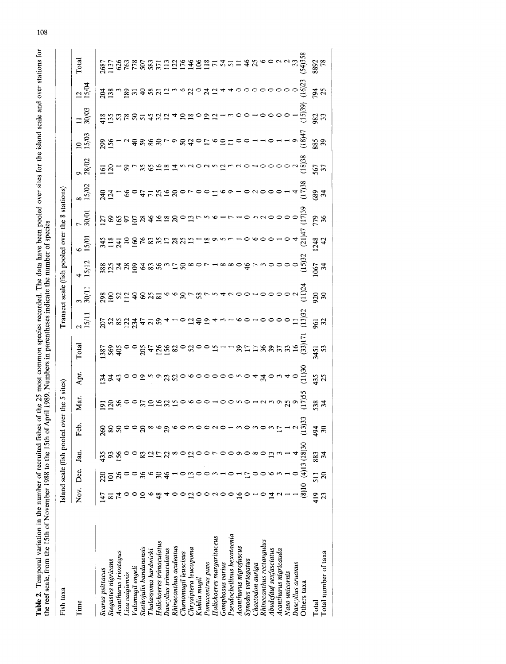| <b>A colorate de de de de de de la projecte de la projecte de la projecte de la projecte de la projecte de la pro</b>                                                                                                          |                                               |
|--------------------------------------------------------------------------------------------------------------------------------------------------------------------------------------------------------------------------------|-----------------------------------------------|
|                                                                                                                                                                                                                                |                                               |
|                                                                                                                                                                                                                                |                                               |
| こうしょうこう                                                                                                                                                                                                                        |                                               |
|                                                                                                                                                                                                                                |                                               |
|                                                                                                                                                                                                                                |                                               |
|                                                                                                                                                                                                                                |                                               |
|                                                                                                                                                                                                                                |                                               |
|                                                                                                                                                                                                                                |                                               |
|                                                                                                                                                                                                                                |                                               |
|                                                                                                                                                                                                                                |                                               |
| control and the state when the present                                                                                                                                                                                         |                                               |
|                                                                                                                                                                                                                                |                                               |
| <b>14 FC+ CC+CC FC:CC TVC CC</b>                                                                                                                                                                                               |                                               |
|                                                                                                                                                                                                                                |                                               |
|                                                                                                                                                                                                                                |                                               |
|                                                                                                                                                                                                                                |                                               |
|                                                                                                                                                                                                                                |                                               |
|                                                                                                                                                                                                                                |                                               |
| and the research control in the                                                                                                                                                                                                |                                               |
|                                                                                                                                                                                                                                | .<br>.<br>.<br>.                              |
|                                                                                                                                                                                                                                |                                               |
| $-4 - 71a$ detailed have been ver-                                                                                                                                                                                             |                                               |
| er of the 35 most common energy record                                                                                                                                                                                         |                                               |
|                                                                                                                                                                                                                                |                                               |
|                                                                                                                                                                                                                                |                                               |
|                                                                                                                                                                                                                                |                                               |
|                                                                                                                                                                                                                                |                                               |
|                                                                                                                                                                                                                                |                                               |
|                                                                                                                                                                                                                                |                                               |
|                                                                                                                                                                                                                                |                                               |
| The set of the set in the set of the set of the set of the set of the set of the set of the set of the set of the set of the set of the set of the set of the set of the set of the set of the set of the set of the set of th | ∠<br>S                                        |
|                                                                                                                                                                                                                                |                                               |
|                                                                                                                                                                                                                                | $\frac{1}{2}$                                 |
|                                                                                                                                                                                                                                | ֖֖֖֧֧֧֧֧֚֚֚֚֚֚֚֚֚֚֚֚֚֚֚֚֚֚֚֚֚֚֚֚֚֚֚֬֡֡֡֝֝֬֝֬֝ |
|                                                                                                                                                                                                                                |                                               |
|                                                                                                                                                                                                                                |                                               |
|                                                                                                                                                                                                                                | ;                                             |
|                                                                                                                                                                                                                                |                                               |
|                                                                                                                                                                                                                                |                                               |
|                                                                                                                                                                                                                                |                                               |
|                                                                                                                                                                                                                                |                                               |
|                                                                                                                                                                                                                                |                                               |
|                                                                                                                                                                                                                                | :<br>:                                        |
|                                                                                                                                                                                                                                |                                               |
| al variation in the number of recruited f<br>yili uvudi vallativii ill u                                                                                                                                                       |                                               |
|                                                                                                                                                                                                                                |                                               |
|                                                                                                                                                                                                                                |                                               |
|                                                                                                                                                                                                                                |                                               |
| Takla Tame                                                                                                                                                                                                                     |                                               |
|                                                                                                                                                                                                                                |                                               |
|                                                                                                                                                                                                                                |                                               |

| the reet scale, from the 15th of November 1988 to the 15th of |                  |                 |                           | April        | 1989.                    |                               | is in paren                          | neses inc                                               |                         |                                                  | species                    |                                                                                                                                                                                                                                  |                 |                   |                                |                                      |                    |            |
|---------------------------------------------------------------|------------------|-----------------|---------------------------|--------------|--------------------------|-------------------------------|--------------------------------------|---------------------------------------------------------|-------------------------|--------------------------------------------------|----------------------------|----------------------------------------------------------------------------------------------------------------------------------------------------------------------------------------------------------------------------------|-----------------|-------------------|--------------------------------|--------------------------------------|--------------------|------------|
| Fish taxa                                                     |                  |                 | Island scale (fish pooled |              | over the 5               | sites)                        |                                      |                                                         |                         | Transect scale (fish pooled over the 8 stations) |                            |                                                                                                                                                                                                                                  |                 |                   |                                |                                      |                    |            |
| Time                                                          | $\sum_{i=1}^{N}$ | Dec.            | Jan.                      | Feb.         | Mar.                     | Apr.                          | Total                                | 15/1                                                    | $\frac{3}{30/11}$       | $\frac{4}{15/12}$                                | 6/15/01                    | 7<br>30/01                                                                                                                                                                                                                       | 15/02           | $\frac{9}{28/02}$ | $\frac{10}{15/03}$             | $\frac{11}{30/03}$                   | $\frac{12}{15}$ Q4 | Total      |
| Scarus psittacus                                              |                  |                 | 435                       | 260          |                          |                               |                                      |                                                         |                         |                                                  |                            |                                                                                                                                                                                                                                  |                 |                   |                                |                                      |                    |            |
| Stegastes nigricans                                           |                  |                 |                           | ∞            |                          |                               |                                      |                                                         |                         |                                                  |                            |                                                                                                                                                                                                                                  |                 |                   |                                |                                      |                    |            |
| Acanthurus triostegus                                         |                  |                 | 156                       | 5            |                          |                               |                                      |                                                         |                         |                                                  |                            |                                                                                                                                                                                                                                  |                 |                   |                                |                                      |                    |            |
| Liza vaigiensis                                               |                  |                 |                           |              |                          |                               |                                      |                                                         |                         |                                                  |                            |                                                                                                                                                                                                                                  |                 |                   |                                |                                      |                    |            |
| Valamugil engeli                                              |                  |                 |                           |              |                          |                               |                                      |                                                         |                         |                                                  |                            |                                                                                                                                                                                                                                  |                 |                   |                                | and an ser and a cool dupled and all |                    |            |
| <b>Stethojulis bandanensis</b>                                | $\Omega$         |                 |                           | ম            |                          |                               |                                      |                                                         |                         |                                                  |                            |                                                                                                                                                                                                                                  |                 |                   |                                |                                      |                    |            |
| Thalassoma hardwicki                                          | O                |                 | $\frac{2}{17}$            |              |                          |                               |                                      |                                                         |                         |                                                  |                            |                                                                                                                                                                                                                                  |                 |                   |                                |                                      |                    |            |
| Halichoeres trimaculatus                                      | 48               |                 |                           |              |                          |                               |                                      |                                                         |                         |                                                  |                            |                                                                                                                                                                                                                                  |                 |                   |                                |                                      |                    |            |
| Dascyllus trimaculatus                                        |                  |                 | $\overline{c}$            |              |                          |                               |                                      |                                                         |                         |                                                  |                            |                                                                                                                                                                                                                                  |                 |                   |                                |                                      |                    |            |
| Rhinecanthus aculeatus                                        |                  |                 | ∞                         |              |                          |                               |                                      |                                                         |                         |                                                  |                            |                                                                                                                                                                                                                                  |                 |                   |                                |                                      |                    |            |
| Chanomugil leuscisus                                          | odoouoo          |                 | $\circ$                   | oomoo qow    |                          |                               |                                      |                                                         |                         |                                                  |                            |                                                                                                                                                                                                                                  |                 |                   |                                |                                      |                    |            |
| Chrysiptera leucopoma                                         |                  | $\overline{13}$ | $\overline{2}$            |              |                          |                               |                                      |                                                         |                         |                                                  |                            |                                                                                                                                                                                                                                  |                 |                   |                                |                                      |                    |            |
| Kuhlia mugil                                                  |                  | $\circ$         |                           |              |                          |                               |                                      |                                                         |                         |                                                  |                            |                                                                                                                                                                                                                                  |                 |                   |                                |                                      |                    |            |
| Pomacentrus pavo                                              |                  |                 |                           |              |                          |                               |                                      |                                                         |                         |                                                  |                            |                                                                                                                                                                                                                                  |                 |                   |                                |                                      |                    |            |
| Halichoeres margaritaceus                                     |                  |                 |                           |              |                          |                               |                                      |                                                         |                         |                                                  |                            |                                                                                                                                                                                                                                  |                 |                   |                                |                                      |                    |            |
| Gomphosus varius                                              |                  |                 |                           |              |                          |                               |                                      |                                                         |                         |                                                  |                            |                                                                                                                                                                                                                                  |                 |                   |                                |                                      |                    |            |
| Pseudocheilinus hexataenia                                    |                  |                 |                           |              |                          |                               |                                      |                                                         |                         |                                                  |                            |                                                                                                                                                                                                                                  |                 |                   |                                |                                      |                    |            |
| Acanthurus nigrofuscus                                        | $\frac{6}{16}$   |                 |                           |              |                          |                               |                                      |                                                         |                         |                                                  |                            |                                                                                                                                                                                                                                  |                 |                   |                                |                                      |                    |            |
| Synodus variegatus                                            |                  |                 |                           |              |                          |                               |                                      |                                                         |                         |                                                  |                            |                                                                                                                                                                                                                                  |                 |                   |                                |                                      |                    |            |
| Chaetodon auriga                                              |                  | $\circ$         | $\infty$                  |              |                          |                               |                                      |                                                         |                         |                                                  |                            |                                                                                                                                                                                                                                  |                 |                   |                                |                                      |                    |            |
| Rhinecanthus rectangulus                                      |                  | $\circ$         | ⊝ຕຼຕ                      |              |                          |                               |                                      |                                                         |                         |                                                  |                            |                                                                                                                                                                                                                                  |                 |                   |                                |                                      |                    |            |
| Abudefauf sexfasciatus                                        | $\vec{a}$        |                 |                           |              |                          |                               |                                      |                                                         |                         |                                                  |                            |                                                                                                                                                                                                                                  |                 |                   |                                |                                      |                    |            |
| Acanthurus nigricauda                                         |                  |                 |                           |              |                          |                               |                                      |                                                         |                         |                                                  |                            |                                                                                                                                                                                                                                  |                 |                   |                                |                                      |                    |            |
| Vaso unicornis                                                |                  |                 |                           |              |                          |                               |                                      |                                                         |                         |                                                  |                            |                                                                                                                                                                                                                                  |                 |                   |                                |                                      |                    |            |
| Dascyllus aruanus                                             |                  |                 |                           |              |                          |                               |                                      |                                                         |                         |                                                  |                            |                                                                                                                                                                                                                                  |                 |                   |                                |                                      |                    |            |
| Others taxa                                                   | (8)10            |                 | 0E(81) E1(4)              | (13)32       | gggeorgaggeorgeorgeusgeg | usdeoodwockhoooooooouoddowaod | unde<br>1983 - Städas Noon-rattaarum | g x x q x + x x + - 0 q q a + n - 0 0 - - 0 0 0 0 - 1 m | g<br>ggadaensergraderer |                                                  | おばばいのでのおけぬなけーねりょう10600104は | we dependence to the court of the state of the state of the state of the state of the state of the state of th<br>Extending the state of the state of the state of the state of the state of the state of the state of the state |                 | Eduraceous Formal | 881124888679849569110011011987 | (15)39                               |                    |            |
| Total                                                         | 419              | 511             | 883                       | 494          | 534                      | $\frac{35}{25}$               | 451<br>53                            | $\frac{5}{2}$                                           | $\frac{20}{30}$         | <b>067</b><br>34                                 | 1248                       | 28                                                                                                                                                                                                                               | $\frac{89}{34}$ | 567               | $\frac{85}{39}$                | $\frac{2}{33}$                       | 794<br>25          | 8892<br>78 |
| Total number of taxa                                          |                  |                 |                           | $\mathbf{r}$ |                          |                               |                                      |                                                         |                         |                                                  |                            |                                                                                                                                                                                                                                  |                 |                   |                                |                                      |                    |            |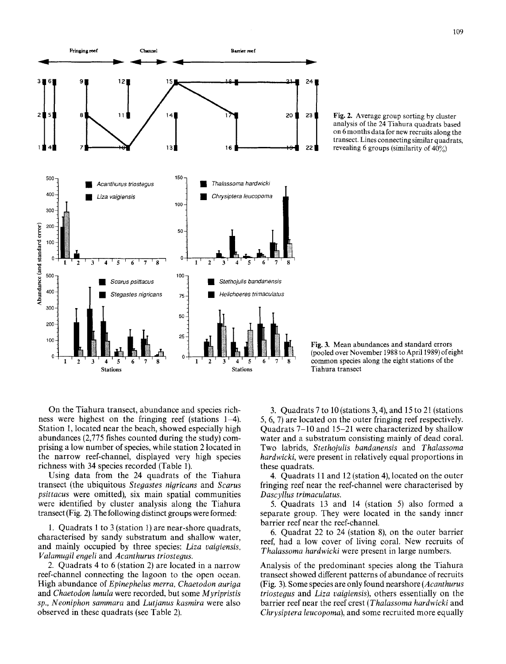



Fig. 3. Mean abundances and standard errors (pooled over November 1988 to April 1989) of eight common species along the eight stations of the Tiahura transect

On the Tiahura transect, abundance and species richness were highest on the fringing reef (stations 1-4). Station 1, located near the beach, showed especially high abundances (2,775 fishes counted during the study) comprising a low number of species, while station 2 located in the narrow reef-channel, displayed very high species richness with 34 species recorded (Table 1).

Using data from the 24 quadrats of the Tiahura transect (the ubiquitous *Stegastes nigricans* and *Scarus psittacus* were omitted), six main spatial communities were identified by cluster analysis along the Tiahura transect (Fig. 2). The following distinct groups were formed:

1. Quadrats 1 to 3 (station 1) are near-shore quadrats, characterised by sandy substratum and shallow water, and mainly occupied by three species: *Liza vaigiensis, Valamugil engeli* and *Acanthurus triostegus.* 

2. Quadrats 4 to 6 (station 2) are located in a narrow reef-channel connecting the lagoon to the open ocean. High abundance of *Epinephelus merra, Chaetodon auriga*  and *Chaetodon lunula* were recorded, but some *Myripristis sp., Neoniphon sammara* and *Lutjanus kasmira* were also observed in these quadrats (see Table 2).

3. Quadrats 7 to 10 (stations 3, 4), and 15 to 21 (stations 5, 6, 7) are located on the outer fringing reef respectively. Quadrats 7-10 and 15-21 were characterized by shallow water and a substratum consisting mainly of dead coral. Two labrids, *Stethojulis bandanensis* and *Thatassoma hardwicki,* were present in relatively equal proportions in these quadrats.

4. Quadrats 11 and 12 (station 4), located on the outer fringing reef near the reef-channel were characterised by *Dasc yllus trimaculatus.* 

5. Quadrats 13 and 14 (station 5) also formed a separate group. They were located in the sandy inner barrier reef near the reef-channel.

6. Quadrat 22 to 24 (station 8), on the outer barrier reef, had a low cover of living coral. New recruits of *Thalassoma hardwicki* were present in large numbers.

Analysis of the predominant species along the Tiahura transect showed different patterns of abundance of recruits (Fig. 3). Some species are only found nearshore *(Acanthurus triostegus* and *Liza vaigiensis),* others essentially on the barrier reef near the reef crest *(Thalassoma hardwicki* and *Chrysiptera leucopoma),* and some recruited more equally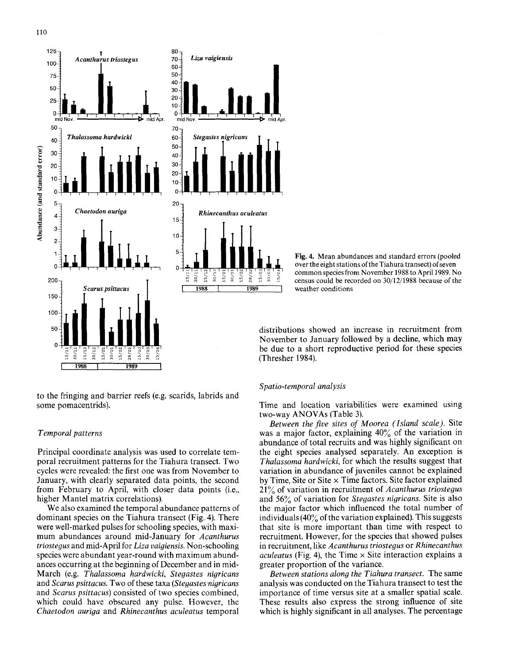

to the fringing and barrier reefs (e.g. scarids, labrids and some pomacentrids).

## *Temporal patterns*

Principal coordinate analysis was used to correlate temporal recruitment patterns for the Tiahura transect. Two cycles were revealed: the first one was from November to January, with clearly separated data points, the second from February to April, with closer data points (i.e., higher Mantel matrix correlations).

We also examined the temporal abundance patterns of dominant species on the Tiahura transect (Fig. 4). There were well-marked pulses for schooling species, with maximum abundances around mid-January for *Acanthurus triostegus* and mid-April for *Liza vaigiensis.* Non-schooling species were abundant year-round with maximum abundances occurring at the beginning of December and in mid-March (e.g. *Thalassoma hardwicki, Stegastes nigricans*  and *Scarus psittacus*. Two of these taxa *(Stegastes nigricans* and *Scarus psittacus)* consisted of two species combined, which could have obscured any pulse. However, the *Chaetodon auriga* and *Rhinecanthus aculeatus* temporal



distributions showed an increase in recruitment from November to January followed by a decline, which may be due to a short reproductive period for these species (Thresher 1984).

# *Spatio-temporal analysis*

Time and location variabilities were examined using two-way ANOVAs (Table 3).

*Between the five sites of Moorea (Island scale).* Site was a major factor, explaining  $40\%$  of the variation in abundance of total recruits and was highly significant on the eight species analysed separately. An exception is *Thalassoma hardwicki,* for which the results suggest that variation in abundance of juveniles cannot be explained by Time, Site or Site  $\times$  Time factors. Site factor explained 21% of variation in recruitment of *Acanthurus triostegus*  and 56% of variation for *Stegastes nigricans.* Site is also the major factor which influenced the total number of individuals (40% of the variation explained). This suggests that site is more important than time with respect to recruitment. However, for the species that showed pulses in recruitment, like *Acanthurus triostegus* or *Rhinecanthus aculeatus* (Fig. 4), the Time  $\times$  Site interaction explains a greater proportion of the variance.

*Between stations alon9 the Tiahura transect.* The same analysis was conducted on the Tiahura transect to test the importance of time versus site at a smaller spatial scale. These results also express the strong influence of site which is highly significant in all analyses. The percentage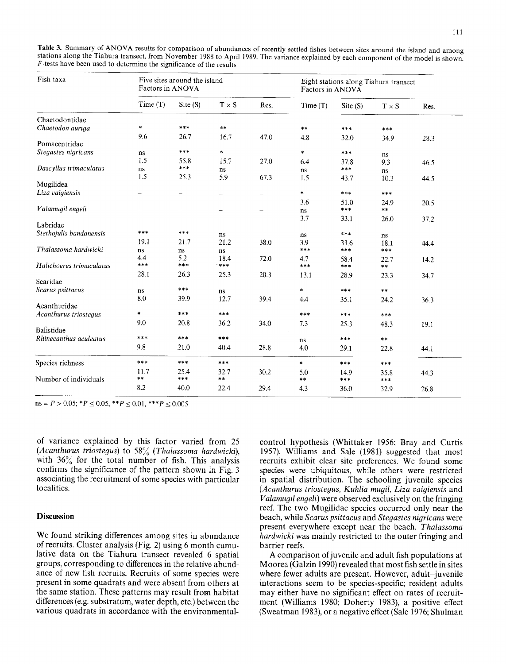Table 3. Summary of ANOVA results for comparison of abundances of recently settled fishes between sites around the island and among stations along the Tiahura transect, from November 1988 to April 1989. The variance explained by each component of the model is shown. F-tests have been used to determine the significance of the results

| Fish taxa                | Factors in ANOVA | Five sites around the island |               |      | Factors in ANOVA |         | Eight stations along Tiahura transect |      |
|--------------------------|------------------|------------------------------|---------------|------|------------------|---------|---------------------------------------|------|
|                          | Time(T)          | Site(S)                      | $T \times S$  | Res. | Time(T)          | Site(S) | $T \times S$                          | Res. |
| Chaetodontidae           |                  |                              |               |      |                  |         |                                       |      |
| Chaetodon auriga         | $\ast$           | $****$                       | $\ast\ast$    |      | $* *$            | ***     | $* * *$                               |      |
|                          | 9.6              | 26.7                         | 16.7          | 47.0 | 4.8              | 32.0    | 34.9                                  | 28.3 |
| Pomacentridae            |                  |                              |               |      |                  |         |                                       |      |
| Stegastes nigricans      | ns               | $***$                        | $\ast$        |      | $\ast$           | $***$   | ns                                    |      |
|                          | 1.5              | 55.8                         | 15.7          | 27.0 | 6.4              | 37.8    | 9.3                                   | 46.5 |
| Dascyllus trimaculatus   | ns               | $***$                        | ns            |      | ns               | $***$   | ns                                    |      |
|                          | 1.5              | 25.3                         | 5.9           | 67.3 | 1.5              | 43.7    | 10.3                                  | 44.5 |
| Mugilidea                |                  |                              |               |      |                  |         |                                       |      |
| Liza vaigiensis          |                  |                              | -             |      | $\ast$           | ***     | $***$                                 |      |
|                          |                  |                              |               |      | 3.6              | 51.0    | 24.9                                  | 20.5 |
| Valamugil engeli         |                  |                              |               |      | ns               | $* * *$ | $***$                                 |      |
|                          |                  |                              |               |      | 3.7              | 33.1    | 26.0                                  | 37.2 |
| Labridae                 |                  |                              |               |      |                  |         |                                       |      |
| Stethojulis bandanensis  | $****$           | ***                          | ns            |      | ns               | ***     | $\rm ns$                              |      |
|                          | 19.1             | 21.7                         | 21.2          | 38.0 | 3.9              | 33.6    | 18.1                                  | 44.4 |
| Thalassoma hardwicki     | ns               | ns                           | <sub>ns</sub> |      | ***              | $***$   | $***$ *                               |      |
|                          | 4.4              | 5.2                          | 18.4          | 72.0 | 4.7              | 58.4    | 22.7                                  | 14.2 |
| Halichoeres trimaculatus | $***$            | ***                          | ***           |      | $***$            | $***$   | $***$                                 |      |
|                          | 28.1             | 26.3                         | 25.3          | 20.3 | 13.1             | 28.9    | 23.3                                  | 34.7 |
| Scaridae                 |                  |                              |               |      |                  |         |                                       |      |
| Scarus psittacus         | ns               | ***                          | ns            |      | $\ast$           | ***     | $\ast\ast$                            |      |
|                          | 8.0              | 39.9                         | 12.7          | 39.4 | 4.4              | 35.1    | 24.2                                  | 36.3 |
| Acanthuridae             |                  |                              |               |      |                  |         |                                       |      |
| Acanthurus triostegus    | $\ast$           | $****$                       | ***           |      | ***              | ***     | ***                                   |      |
|                          | 9.0              | 20.8                         | 36.2          | 34.0 | 7.3              | 25.3    | 48.3                                  | 19.1 |
| Balistidae               |                  |                              |               |      |                  |         |                                       |      |
| Rhinecanthus aculeatus   | ***              | ***                          | ***           |      | ns               | $***$   | $\star\star$                          |      |
|                          | 9.8              | 21.0                         | 40.4          | 28.8 | 4.0              | 29.1    | 22.8                                  | 44.1 |
| Species richness         | ***              | $***$                        | $***$         |      | $\star$          | $***$   | $****$                                |      |
|                          | 11.7             | 25.4                         | 32.7          | 30.2 | 5.0              | 14.9    | 35.8                                  | 44.3 |
| Number of individuals    | **               | ***                          | $\star\star$  |      | $***$            | ***     | $***$                                 |      |
|                          | 8.2              | 40.0                         | 22.4          | 29.4 | 4.3              | 36.0    | 32.9                                  | 26.8 |

 $ns = P > 0.05$ ; \*  $P \le 0.05$ , \* \*  $P \le 0.01$ , \* \* \*  $P \le 0.005$ 

of variance explained by this factor varied from 25 (Acanthurus triostegus) to  $58\%$  (Thalassoma hardwicki), with 36% for the total number of fish. This analysis confirms the significance of the pattern shown in Fig. 3 associating the recruitment of some species with particular localities.

# **Discussion**

We found striking differences among sites in abundance of recruits. Cluster analysis (Fig. 2) using 6 month cumulative data on the Tiahura transect revealed 6 spatial groups, corresponding to differences in the relative abundance of new fish recruits. Recruits of some species were present in some quadrats and were absent from others at the same station. These patterns may result from habitat differences (e.g. substratum, water depth, etc.) between the various quadrats in accordance with the environmentalcontrol hypothesis (Whittaker 1956; Bray and Curtis 1957). Williams and Sale (1981) suggested that most recruits exhibit clear site preferences. We found some species were ubiquitous, while others were restricted in spatial distribution. The schooling juvenile species (Acanthurus triostegus, Kuhlia mugil, Liza vaigiensis and *Valamugil engeli*) were observed exclusively on the fringing reef. The two Mugilidae species occurred only near the beach, while Scarus psittacus and Stegastes nigricans were present everywhere except near the beach. Thalassoma *hardwicki* was mainly restricted to the outer fringing and barrier reefs.

A comparison of juvenile and adult fish populations at Moorea (Galzin 1990) revealed that most fish settle in sites where fewer adults are present. However, adult-juvenile interactions seem to be species-specific; resident adults may either have no significant effect on rates of recruitment (Williams 1980; Doherty 1983), a positive effect (Sweatman 1983), or a negative effect (Sale 1976; Shulman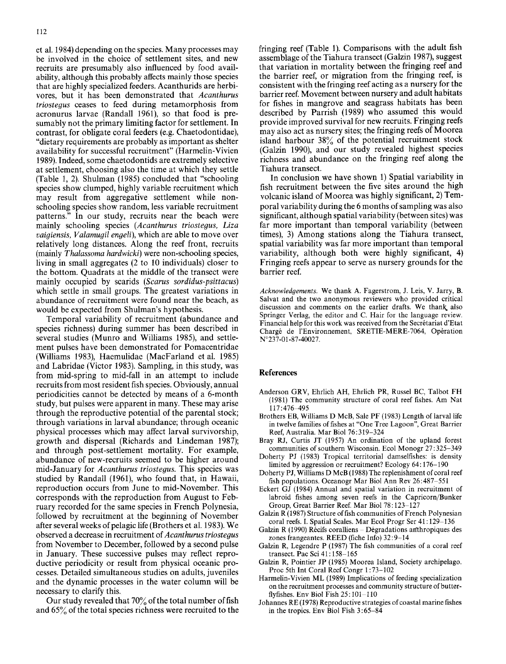et al. 1984) depending on the species. Many processes may be involved in the choice of settlement sites, and new recruits are presumably also influenced by food availability, although this probably affects mainly those species that are highly specialized feeders. Acanthurids are herbivores, but it has been demonstrated that *Acanthurus triostegus* ceases to feed during metamorphosis from acronurus larvae (Randall 1961), so that food is presumably not the primary limiting factor for settlement. In contrast, for obligate coral feeders (e.g. Chaetodontidae), "dietary requirements are probably as important as shelter availability for successful recruitment" (Harmelin-Vivien 1989). Indeed, some chaetodontids are extremely selective at settlement, choosing also the time at which they settle (Table 1, 2). Shulman (1985) concluded that "schooling species show clumped, highly variable recruitment which may result from aggregative settlement while nonschooling species show random, less variable recruitment patterns." In our study, recruits near the beach were mainly schooling species *(Acanthurus triostegus, Liza vaigiensis, Valamugil engeli),* which are able to move over relatively long distances. Along the reef front, recruits (mainly *Thalassoma hardwieki)* were non-schooling species, living in small aggregates (2 to 10 individuals) closer to the bottom. Quadrats at the middle of the transect were mainly occupied by scarids *(Scarus sordidus-psittacus)*  which settle in small groups. The greatest variations in abundance of recruitment were found near the beach, as would be expected from Shulman's hypothesis.

Temporal variability of recruitment (abundance and species richness) during summer has been described in several studies (Munro and Williams 1985), and settlement pulses have been demonstrated for Pomacentridae (Williams 1983), Haemulidae (MacFarland et al. 1985) and Labridae (Victor 1983). Sampling, in this study, was from mid-spring to mid-fall in an attempt to include recruits from most resident fish species. Obviously, annual periodicities cannot be detected by means of a 6-month study, but pulses were apparent in many. These may arise through the reproductive potential of the parental stock; through variations in larval abundance; through oceanic physical processes which may affect larval survivorship, growth and dispersal (Richards and Lindeman 1987); and through post-settlement mortality. For example, abundance of new-recruits seemed to be higher around mid-January for *Acanthurus triostegus.* This species was studied by Randall (1961), who found that, in Hawaii, reproduction occurs from June to mid-November. This corresponds with the reproduction from August to February recorded for the same species in French Polynesia, followed by recruitment at the beginning of November after several weeks of pelagic life (Brothers et al. 1983). We observed a decrease in recruitment of *Aeanthurus triostegus*  from November to December, followed by a second pulse in January. These successive pulses may reflect reproductive periodicity or result from physical oceanic processes. Detailed simultaneous studies on adults, juveniles and the dynamic processes in the water column will be necessary to clarify this.

Our study revealed that  $70\%$  of the total number of fish and  $65\%$  of the total species richness were recruited to the fringing reef (Table 1). Comparisons with the adult fish assemblage of the Tiahura transect (Galzin 1987), suggest that variation in mortality between the fringing reef and the barrier reef, or migration from the fringing reef, is consistent with the fringing reef acting as a nursery for the barrier reef. Movement between nursery and adult habitats for fishes in mangrove and seagrass habitats has been described by Parrish (1989) who assumed this would provide improved survival for new recruits. Fringing reefs may also act as nursery sites; the fringing reefs of Moorea island harbour  $38\%$  of the potential recruitment stock (Galzin 1990), and our study revealed highest species richness and abundance on the fringing reef along the Tiahura transect.

In conclusion we have shown 1) Spatial variability in fish recruitment between the five sites around the high volcanic island of Moorea was highly significant, 2) Temporal variability during the 6 months of sampling was also significant, although spatial variability (between sites) was far more important than temporal variability (between times), 3) Among stations along the Tiahura transect, spatial variability was far more important than temporal variability, although both were highly significant, 4) Fringing reefs appear to serve as nursery grounds for the barrier reef.

*Acknowledgements.* We thank A. Fagerstrom, J. Leis, V. Jarry, B. Salvat and the two anonymous reviewers who provided critical discussion and comments on the earlier drafts. We thank also Springer Verlag, the editor and C. Hair for the language review. Financial help for this work was received from the Secrétariat d'Etat Chargé de l'Environnement, SRETIE-MERE-7064, Opération N°237-01-87-40027.

## **References**

- Anderson GRV, Ehrlich AH, Ehrlich PR, Russel BC, Talbot FH (1981) The community structure of coral reef fishes. Am Nat 117: 476-495
- Brothers EB, Williams D McB, Sale PF (1983) Length of larval life in twelve families of fishes at "One Tree Lagoon", Great Barrier Reef, Australia. Mar Biol 76: 319-324
- Bray RJ, Curtis JT (1957) An ordination of the upland forest communities of southern Wisconsin. Ecol Monogr 27 : 325-349
- Doherty PJ (1983) Tropical territorial damselfishes: is density limited by aggression or recruitment? Ecology 64:176-190
- Doherty PJ, Williams D McB (1988) The replenishment of coral reef fish populations. Oceanogr Mar Biol Ann Rev 26:487-551
- Eckert GJ (1984) Annual and spatial variation in recruitment of labroid fishes among seven reefs in the Capricorn/Bunker Group, Great Barrier Reef. Mar Biol 78:123-127
- Galzin R (1987) Structure of fish communities of French Polynesian coral reefs. I. Spatial Scales. Mar Ecol Progr Ser 41:129-136
- Galzin R (1990) Récifs coralliens  $-$  Dégradations anthropiques des zones frangeantes. REED (fiche Info) 32:9-14
- Galzin R, Legendre P (1987) The fish communities of a coral reef transect. Pac Sci 41 : 158-165
- Galzin R, Pointier JP (1985) Moorea Island, Society archipelago. Proc 5th Int Coral Reef Congr 1:73-102
- Harmelin-Vivien ML (1989) Implications of feeding specialization on the recruitment processes and community structure of butterflyfishes. Env Biol Fish 25:101-110
- Johannes RE (1978) Reproductive strategies of coastal marine fishes in the tropics. Env Biol Fish 3:65-84